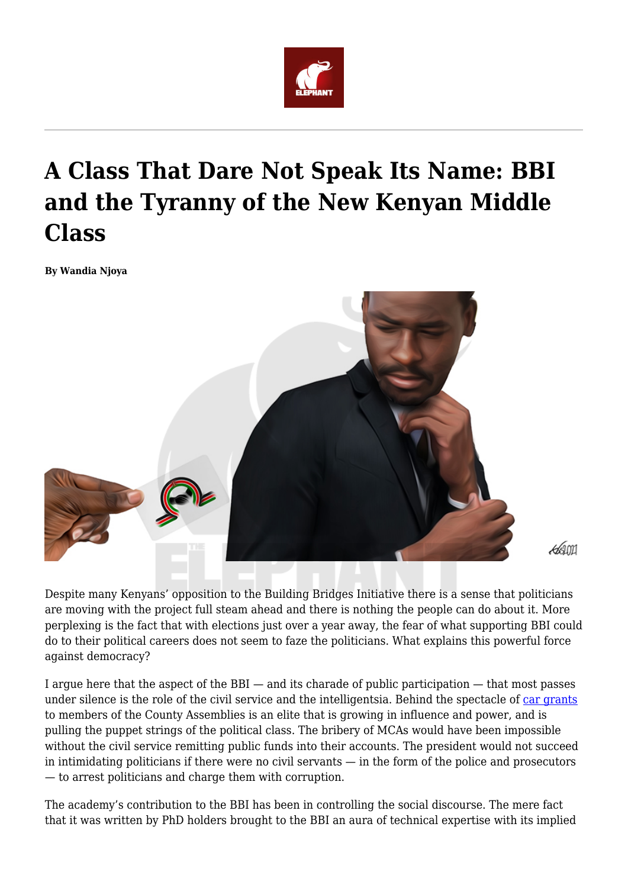

## **A Class That Dare Not Speak Its Name: BBI and the Tyranny of the New Kenyan Middle Class**

**By Wandia Njoya**



ধ্যা

Despite many Kenyans' opposition to the Building Bridges Initiative there is a sense that politicians are moving with the project full steam ahead and there is nothing the people can do about it. More perplexing is the fact that with elections just over a year away, the fear of what supporting BBI could do to their political careers does not seem to faze the politicians. What explains this powerful force against democracy?

I argue here that the aspect of the BBI — and its charade of public participation — that most passes under silence is the role of the civil service and the intelligentsia. Behind the spectacle of [car grants](https://nation.africa/kenya/news/src-approves-car-grants-for-mcas-and-county-assembly-speakers-3285704?view=htmlamp) to members of the County Assemblies is an elite that is growing in influence and power, and is pulling the puppet strings of the political class. The bribery of MCAs would have been impossible without the civil service remitting public funds into their accounts. The president would not succeed in intimidating politicians if there were no civil servants — in the form of the police and prosecutors — to arrest politicians and charge them with corruption.

The academy's contribution to the BBI has been in controlling the social discourse. The mere fact that it was written by PhD holders brought to the BBI an aura of technical expertise with its implied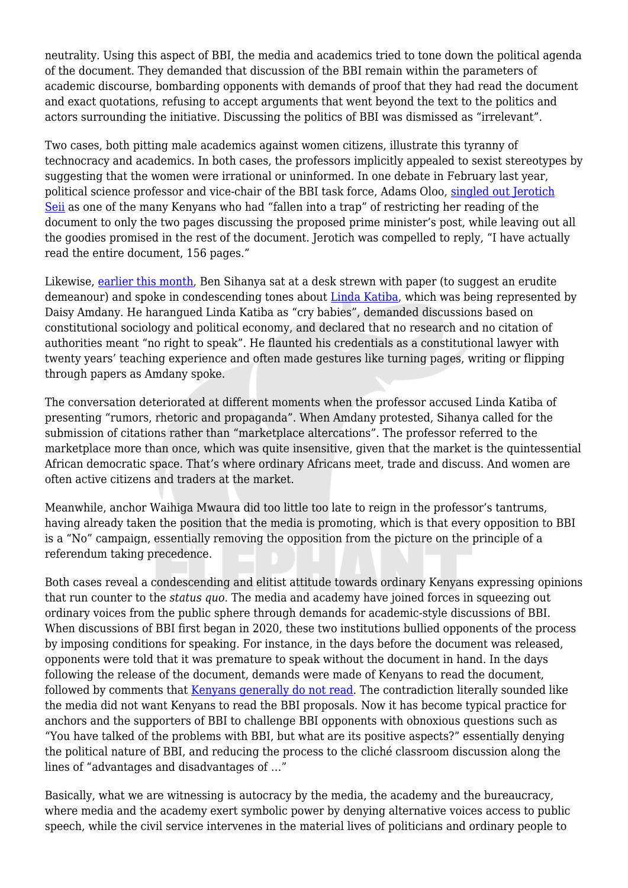neutrality. Using this aspect of BBI, the media and academics tried to tone down the political agenda of the document. They demanded that discussion of the BBI remain within the parameters of academic discourse, bombarding opponents with demands of proof that they had read the document and exact quotations, refusing to accept arguments that went beyond the text to the politics and actors surrounding the initiative. Discussing the politics of BBI was dismissed as "irrelevant".

Two cases, both pitting male academics against women citizens, illustrate this tyranny of technocracy and academics. In both cases, the professors implicitly appealed to sexist stereotypes by suggesting that the women were irrational or uninformed. In one debate in February last year, political science professor and vice-chair of the BBI task force, Adams Oloo, [singled out Jerotich](https://youtu.be/d1GxmByJUz8) [Seii](https://youtu.be/d1GxmByJUz8) as one of the many Kenyans who had "fallen into a trap" of restricting her reading of the document to only the two pages discussing the proposed prime minister's post, while leaving out all the goodies promised in the rest of the document. Jerotich was compelled to reply, "I have actually read the entire document, 156 pages."

Likewise, [earlier this month](https://youtu.be/OzqziUTyqBg), Ben Sihanya sat at a desk strewn with paper (to suggest an erudite demeanour) and spoke in condescending tones about [Linda Katiba,](https://lindakatiba.org/) which was being represented by Daisy Amdany. He harangued Linda Katiba as "cry babies", demanded discussions based on constitutional sociology and political economy, and declared that no research and no citation of authorities meant "no right to speak". He flaunted his credentials as a constitutional lawyer with twenty years' teaching experience and often made gestures like turning pages, writing or flipping through papers as Amdany spoke.

The conversation deteriorated at different moments when the professor accused Linda Katiba of presenting "rumors, rhetoric and propaganda". When Amdany protested, Sihanya called for the submission of citations rather than "marketplace altercations". The professor referred to the marketplace more than once, which was quite insensitive, given that the market is the quintessential African democratic space. That's where ordinary Africans meet, trade and discuss. And women are often active citizens and traders at the market.

Meanwhile, anchor Waihiga Mwaura did too little too late to reign in the professor's tantrums, having already taken the position that the media is promoting, which is that every opposition to BBI is a "No" campaign, essentially removing the opposition from the picture on the principle of a referendum taking precedence.

Both cases reveal a condescending and elitist attitude towards ordinary Kenyans expressing opinions that run counter to the *status quo*. The media and academy have joined forces in squeezing out ordinary voices from the public sphere through demands for academic-style discussions of BBI. When discussions of BBI first began in 2020, these two institutions bullied opponents of the process by imposing conditions for speaking. For instance, in the days before the document was released, opponents were told that it was premature to speak without the document in hand. In the days following the release of the document, demands were made of Kenyans to read the document, followed by comments that [Kenyans generally do not read.](https://youtu.be/Yxfeq-gZOEM) The contradiction literally sounded like the media did not want Kenyans to read the BBI proposals. Now it has become typical practice for anchors and the supporters of BBI to challenge BBI opponents with obnoxious questions such as "You have talked of the problems with BBI, but what are its positive aspects?" essentially denying the political nature of BBI, and reducing the process to the cliché classroom discussion along the lines of "advantages and disadvantages of …"

Basically, what we are witnessing is autocracy by the media, the academy and the bureaucracy, where media and the academy exert symbolic power by denying alternative voices access to public speech, while the civil service intervenes in the material lives of politicians and ordinary people to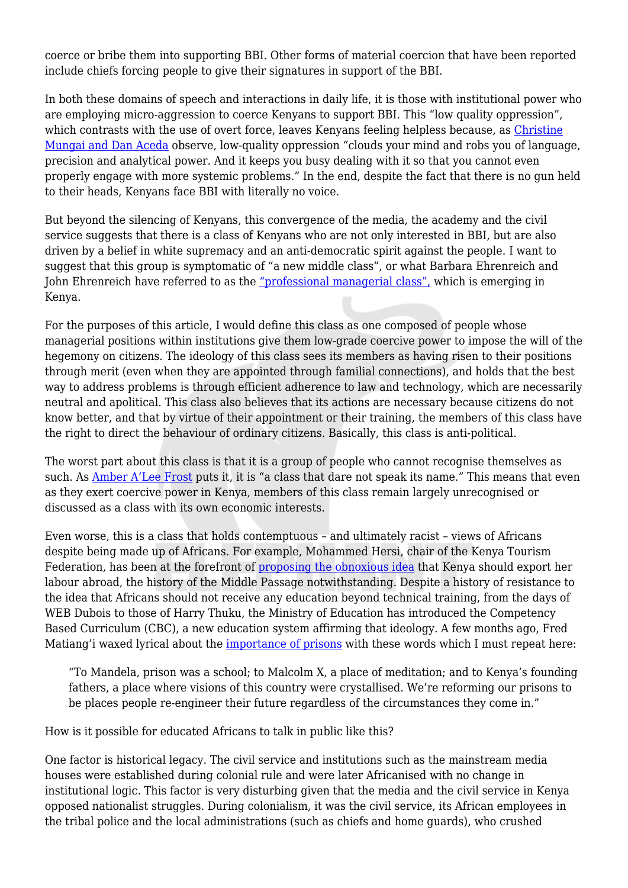coerce or bribe them into supporting BBI. Other forms of material coercion that have been reported include chiefs forcing people to give their signatures in support of the BBI.

In both these domains of speech and interactions in daily life, it is those with institutional power who are employing micro-aggression to coerce Kenyans to support BBI. This "low quality oppression", which contrasts with the use of overt force, leaves Kenyans feeling helpless because, as [Christine](https://lindakatiba.org/) [Mungai and Dan Aceda](https://lindakatiba.org/) observe, low-quality oppression "clouds your mind and robs you of language, precision and analytical power. And it keeps you busy dealing with it so that you cannot even properly engage with more systemic problems." In the end, despite the fact that there is no gun held to their heads, Kenyans face BBI with literally no voice.

But beyond the silencing of Kenyans, this convergence of the media, the academy and the civil service suggests that there is a class of Kenyans who are not only interested in BBI, but are also driven by a belief in white supremacy and an anti-democratic spirit against the people. I want to suggest that this group is symptomatic of "a new middle class", or what Barbara Ehrenreich and John Ehrenreich have referred to as the ["professional managerial class",](https://libcom.org/files/Rad%20America%20V11%20I3.pdf) which is emerging in Kenya.

For the purposes of this article, I would define this class as one composed of people whose managerial positions within institutions give them low-grade coercive power to impose the will of the hegemony on citizens. The ideology of this class sees its members as having risen to their positions through merit (even when they are appointed through familial connections), and holds that the best way to address problems is through efficient adherence to law and technology, which are necessarily neutral and apolitical. This class also believes that its actions are necessary because citizens do not know better, and that by virtue of their appointment or their training, the members of this class have the right to direct the behaviour of ordinary citizens. Basically, this class is anti-political.

The worst part about this class is that it is a group of people who cannot recognise themselves as such. As [Amber A'Lee Frost](https://americanaffairsjournal.org/2019/11/the-characterless-opportunism-of-the-managerial-class/) puts it, it is "a class that dare not speak its name." This means that even as they exert coercive power in Kenya, members of this class remain largely unrecognised or discussed as a class with its own economic interests.

Even worse, this is a class that holds contemptuous – and ultimately racist – views of Africans despite being made up of Africans. For example, Mohammed Hersi, chair of the Kenya Tourism Federation, has been at the forefront of [proposing the obnoxious idea](https://web.facebook.com/mohammed.hersi2010/posts/10159099227767422) that Kenya should export her labour abroad, the history of the Middle Passage notwithstanding. Despite a history of resistance to the idea that Africans should not receive any education beyond technical training, from the days of WEB Dubois to those of Harry Thuku, the Ministry of Education has introduced the Competency Based Curriculum (CBC), a new education system affirming that ideology. A few months ago, Fred Matiang'i waxed lyrical about the [importance of prisons](https://twitter.com/FredMatiangi/status/1293896747928952832) with these words which I must repeat here:

"To Mandela, prison was a school; to Malcolm X, a place of meditation; and to Kenya's founding fathers, a place where visions of this country were crystallised. We're reforming our prisons to be places people re-engineer their future regardless of the circumstances they come in."

How is it possible for educated Africans to talk in public like this?

One factor is historical legacy. The civil service and institutions such as the mainstream media houses were established during colonial rule and were later Africanised with no change in institutional logic. This factor is very disturbing given that the media and the civil service in Kenya opposed nationalist struggles. During colonialism, it was the civil service, its African employees in the tribal police and the local administrations (such as chiefs and home guards), who crushed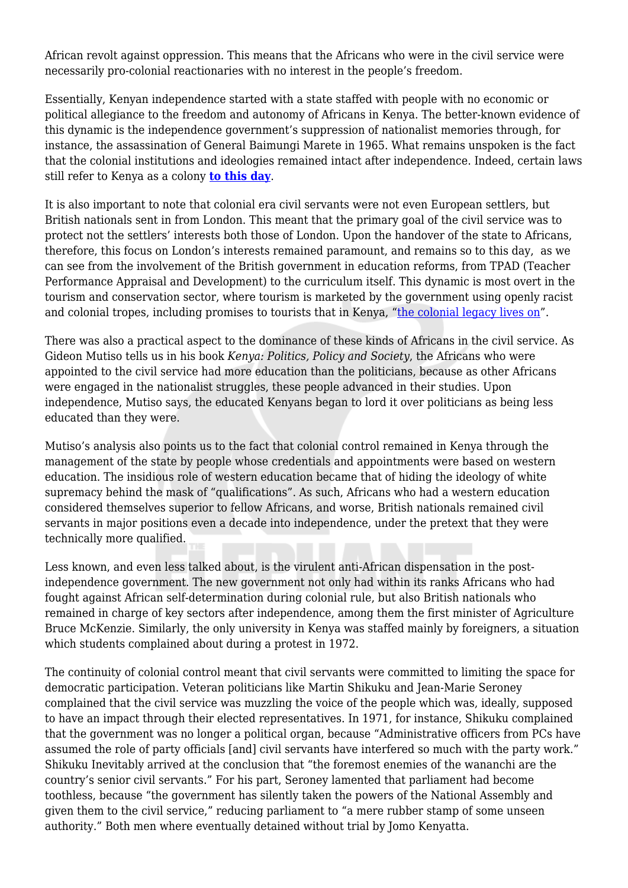African revolt against oppression. This means that the Africans who were in the civil service were necessarily pro-colonial reactionaries with no interest in the people's freedom.

Essentially, Kenyan independence started with a state staffed with people with no economic or political allegiance to the freedom and autonomy of Africans in Kenya. The better-known evidence of this dynamic is the independence government's suppression of nationalist memories through, for instance, the assassination of General Baimungi Marete in 1965. What remains unspoken is the fact that the colonial institutions and ideologies remained intact after independence. Indeed, certain laws still refer to Kenya as a colony **[to this day](http://kenyalaw.org/kl/fileadmin/pdfdownloads/Acts/BooksandNewspapers_Act__Cap._111.pdf)**.

It is also important to note that colonial era civil servants were not even European settlers, but British nationals sent in from London. This meant that the primary goal of the civil service was to protect not the settlers' interests both those of London. Upon the handover of the state to Africans, therefore, this focus on London's interests remained paramount, and remains so to this day, as we can see from the involvement of the British government in education reforms, from TPAD (Teacher Performance Appraisal and Development) to the curriculum itself. This dynamic is most overt in the tourism and conservation sector, where tourism is marketed by the government using openly racist and colonial tropes, including promises to tourists that in Kenya, "[the colonial legacy lives on](https://twitter.com/wmnjoya/status/1352892386213584896?s=20)".

There was also a practical aspect to the dominance of these kinds of Africans in the civil service. As Gideon Mutiso tells us in his book *Kenya: Politics, Policy and Society*, the Africans who were appointed to the civil service had more education than the politicians, because as other Africans were engaged in the nationalist struggles, these people advanced in their studies. Upon independence, Mutiso says, the educated Kenyans began to lord it over politicians as being less educated than they were.

Mutiso's analysis also points us to the fact that colonial control remained in Kenya through the management of the state by people whose credentials and appointments were based on western education. The insidious role of western education became that of hiding the ideology of white supremacy behind the mask of "qualifications". As such, Africans who had a western education considered themselves superior to fellow Africans, and worse, British nationals remained civil servants in major positions even a decade into independence, under the pretext that they were technically more qualified.

Less known, and even less talked about, is the virulent anti-African dispensation in the postindependence government. The new government not only had within its ranks Africans who had fought against African self-determination during colonial rule, but also British nationals who remained in charge of key sectors after independence, among them the first minister of Agriculture Bruce McKenzie. Similarly, the only university in Kenya was staffed mainly by foreigners, a situation which students complained about during a protest in 1972.

The continuity of colonial control meant that civil servants were committed to limiting the space for democratic participation. Veteran politicians like Martin Shikuku and Jean-Marie Seroney complained that the civil service was muzzling the voice of the people which was, ideally, supposed to have an impact through their elected representatives. In 1971, for instance, Shikuku complained that the government was no longer a political organ, because "Administrative officers from PCs have assumed the role of party officials [and] civil servants have interfered so much with the party work." Shikuku Inevitably arrived at the conclusion that "the foremost enemies of the wananchi are the country's senior civil servants." For his part, Seroney lamented that parliament had become toothless, because "the government has silently taken the powers of the National Assembly and given them to the civil service," reducing parliament to "a mere rubber stamp of some unseen authority." Both men where eventually detained without trial by Jomo Kenyatta.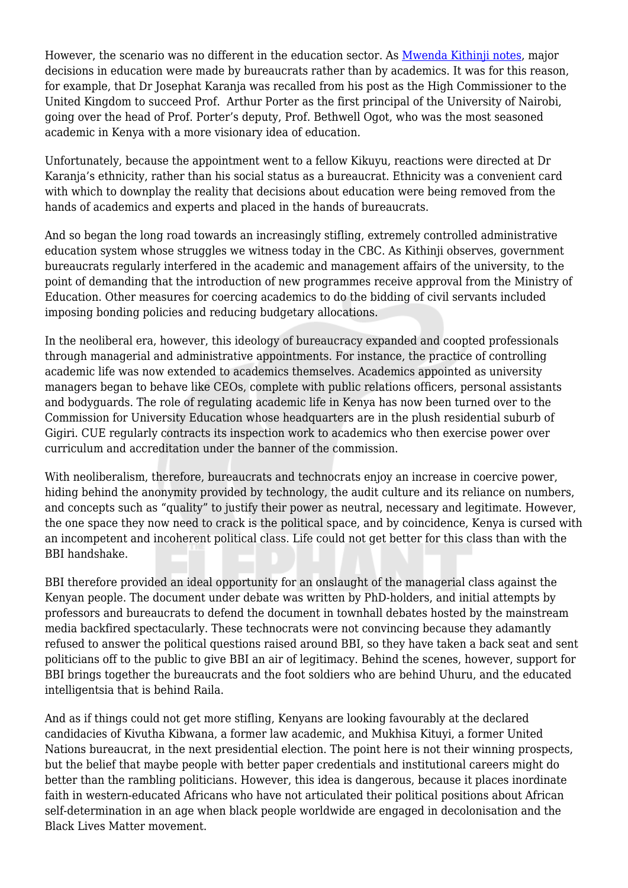However, the scenario was no different in the education sector. As [Mwenda Kithinji notes,](https://theconversation.com/crisis-at-nairobi-university-has-its-roots-in-decades-of-political-interference-130602) major decisions in education were made by bureaucrats rather than by academics. It was for this reason, for example, that Dr Josephat Karanja was recalled from his post as the High Commissioner to the United Kingdom to succeed Prof. Arthur Porter as the first principal of the University of Nairobi, going over the head of Prof. Porter's deputy, Prof. Bethwell Ogot, who was the most seasoned academic in Kenya with a more visionary idea of education.

Unfortunately, because the appointment went to a fellow Kikuyu, reactions were directed at Dr Karanja's ethnicity, rather than his social status as a bureaucrat. Ethnicity was a convenient card with which to downplay the reality that decisions about education were being removed from the hands of academics and experts and placed in the hands of bureaucrats.

And so began the long road towards an increasingly stifling, extremely controlled administrative education system whose struggles we witness today in the CBC. As Kithinii observes, government bureaucrats regularly interfered in the academic and management affairs of the university, to the point of demanding that the introduction of new programmes receive approval from the Ministry of Education. Other measures for coercing academics to do the bidding of civil servants included imposing bonding policies and reducing budgetary allocations.

In the neoliberal era, however, this ideology of bureaucracy expanded and coopted professionals through managerial and administrative appointments. For instance, the practice of controlling academic life was now extended to academics themselves. Academics appointed as university managers began to behave like CEOs, complete with public relations officers, personal assistants and bodyguards. The role of regulating academic life in Kenya has now been turned over to the Commission for University Education whose headquarters are in the plush residential suburb of Gigiri. CUE regularly contracts its inspection work to academics who then exercise power over curriculum and accreditation under the banner of the commission.

With neoliberalism, therefore, bureaucrats and technocrats enjoy an increase in coercive power, hiding behind the anonymity provided by technology, the audit culture and its reliance on numbers, and concepts such as "quality" to justify their power as neutral, necessary and legitimate. However, the one space they now need to crack is the political space, and by coincidence, Kenya is cursed with an incompetent and incoherent political class. Life could not get better for this class than with the BBI handshake.

BBI therefore provided an ideal opportunity for an onslaught of the managerial class against the Kenyan people. The document under debate was written by PhD-holders, and initial attempts by professors and bureaucrats to defend the document in townhall debates hosted by the mainstream media backfired spectacularly. These technocrats were not convincing because they adamantly refused to answer the political questions raised around BBI, so they have taken a back seat and sent politicians off to the public to give BBI an air of legitimacy. Behind the scenes, however, support for BBI brings together the bureaucrats and the foot soldiers who are behind Uhuru, and the educated intelligentsia that is behind Raila.

And as if things could not get more stifling, Kenyans are looking favourably at the declared candidacies of Kivutha Kibwana, a former law academic, and Mukhisa Kituyi, a former United Nations bureaucrat, in the next presidential election. The point here is not their winning prospects, but the belief that maybe people with better paper credentials and institutional careers might do better than the rambling politicians. However, this idea is dangerous, because it places inordinate faith in western-educated Africans who have not articulated their political positions about African self-determination in an age when black people worldwide are engaged in decolonisation and the Black Lives Matter movement.